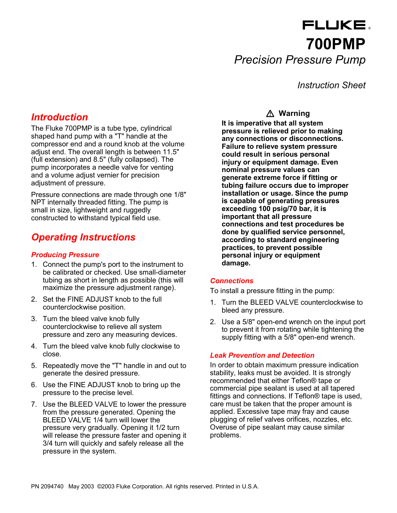# FLUKE. **700PMP** *Precision Pressure Pump*

*Instruction Sheet*

# *Introduction*

The Fluke 700PMP is a tube type, cylindrical shaped hand pump with a "T" handle at the compressor end and a round knob at the volume adjust end. The overall length is between 11.5" (full extension) and 8.5" (fully collapsed). The pump incorporates a needle valve for venting and a volume adjust vernier for precision adjustment of pressure.

Pressure connections are made through one 1/8" NPT internally threaded fitting. The pump is small in size, lightweight and ruggedly constructed to withstand typical field use.

# *Operating Instructions*

#### *Producing Pressure*

- 1. Connect the pump's port to the instrument to be calibrated or checked. Use small-diameter tubing as short in length as possible (this will maximize the pressure adjustment range).
- 2. Set the FINE ADJUST knob to the full counterclockwise position.
- 3. Turn the bleed valve knob fully counterclockwise to relieve all system pressure and zero any measuring devices.
- 4. Turn the bleed valve knob fully clockwise to close.
- 5. Repeatedly move the "T" handle in and out to generate the desired pressure.
- 6. Use the FINE ADJUST knob to bring up the pressure to the precise level.
- 7. Use the BLEED VALVE to lower the pressure from the pressure generated. Opening the BLEED VALVE 1/4 turn will lower the pressure very gradually. Opening it 1/2 turn will release the pressure faster and opening it 3/4 turn will quickly and safely release all the pressure in the system.

### -**Warning**

**It is imperative that all system pressure is relieved prior to making any connections or disconnections. Failure to relieve system pressure could result in serious personal injury or equipment damage. Even nominal pressure values can generate extreme force if fitting or tubing failure occurs due to improper installation or usage. Since the pump is capable of generating pressures exceeding 100 psig/70 bar, it is important that all pressure connections and test procedures be done by qualified service personnel, according to standard engineering practices, to prevent possible personal injury or equipment damage.**

#### *Connections*

To install a pressure fitting in the pump:

- 1. Turn the BLEED VALVE counterclockwise to bleed any pressure.
- 2. Use a 5/8" open-end wrench on the input port to prevent it from rotating while tightening the supply fitting with a 5/8" open-end wrench.

#### *Leak Prevention and Detection*

In order to obtain maximum pressure indication stability, leaks must be avoided. It is strongly recommended that either Teflon® tape or commercial pipe sealant is used at all tapered fittings and connections. If Teflon® tape is used, care must be taken that the proper amount is applied. Excessive tape may fray and cause plugging of relief valves orifices, nozzles, etc. Overuse of pipe sealant may cause similar problems.